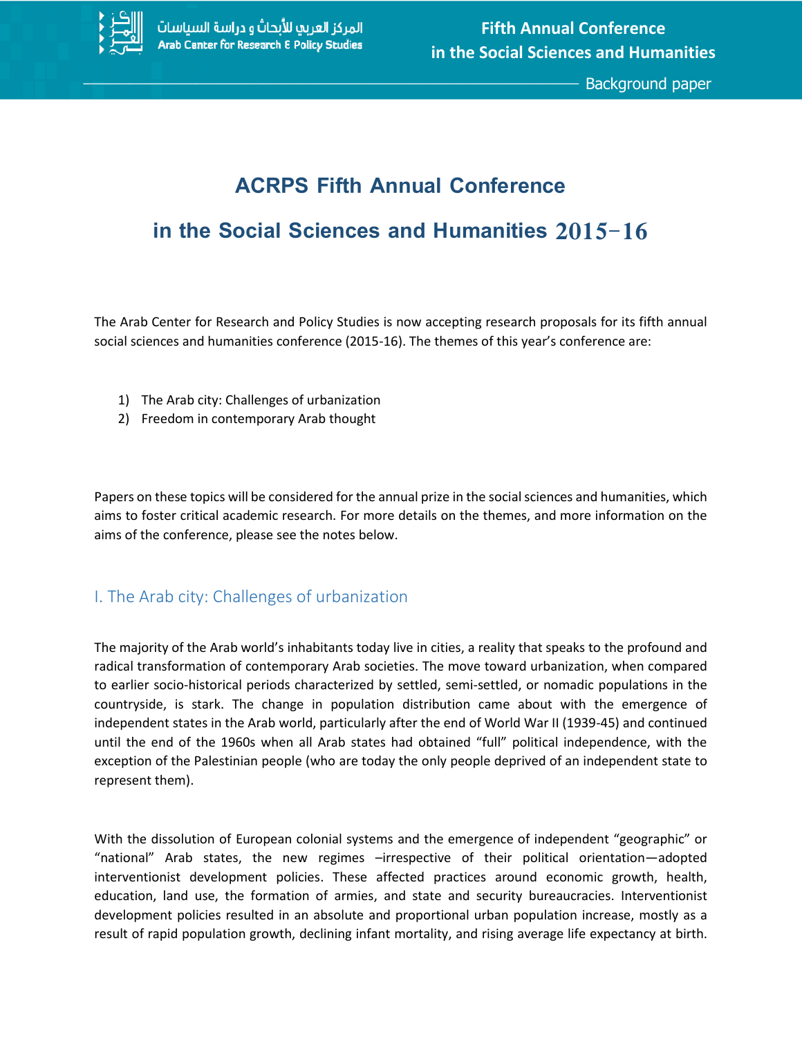

\_\_\_\_\_\_\_\_\_\_\_\_\_\_\_\_\_\_\_\_\_\_\_\_\_\_\_\_\_\_\_\_\_\_\_\_\_\_\_\_\_\_\_\_\_\_\_\_\_\_\_\_\_\_\_\_\_\_\_\_\_\_\_\_\_\_ Background paper

# **ACRPS Fifth Annual Conference**

# **in the Social Sciences and Humanities 2015-16**

The Arab Center for Research and Policy Studies is now accepting research proposals for its fifth annual social sciences and humanities conference (2015-16). The themes of this year's conference are:

- 1) The Arab city: Challenges of urbanization
- 2) Freedom in contemporary Arab thought

Papers on these topics will be considered for the annual prize in the social sciences and humanities, which aims to foster critical academic research. For more details on the themes, and more information on the aims of the conference, please see the notes below.

## I. The Arab city: Challenges of urbanization

The majority of the Arab world's inhabitants today live in cities, a reality that speaks to the profound and radical transformation of contemporary Arab societies. The move toward urbanization, when compared to earlier socio-historical periods characterized by settled, semi-settled, or nomadic populations in the countryside, is stark. The change in population distribution came about with the emergence of independent states in the Arab world, particularly after the end of World War II (1939-45) and continued until the end of the 1960s when all Arab states had obtained "full" political independence, with the exception of the Palestinian people (who are today the only people deprived of an independent state to represent them).

With the dissolution of European colonial systems and the emergence of independent "geographic" or "national" Arab states, the new regimes –irrespective of their political orientation—adopted interventionist development policies. These affected practices around economic growth, health, education, land use, the formation of armies, and state and security bureaucracies. Interventionist development policies resulted in an absolute and proportional urban population increase, mostly as a result of rapid population growth, declining infant mortality, and rising average life expectancy at birth.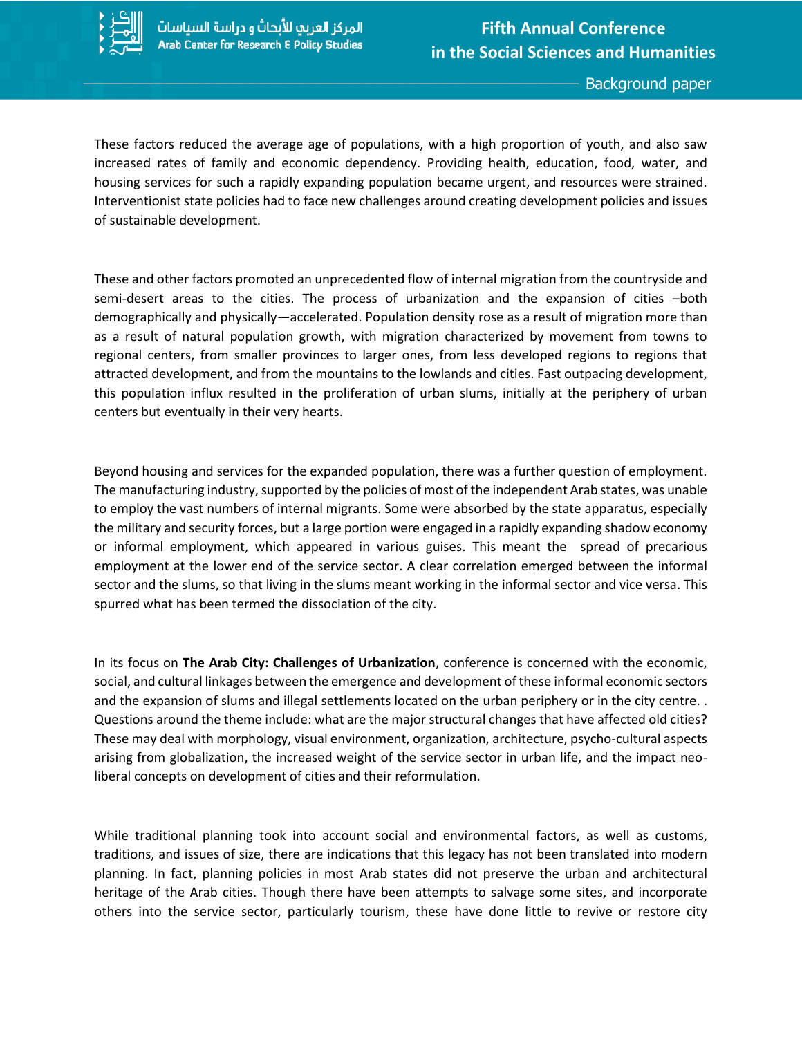

These factors reduced the average age of populations, with a high proportion of youth, and also saw increased rates of family and economic dependency. Providing health, education, food, water, and housing services for such a rapidly expanding population became urgent, and resources were strained. Interventionist state policies had to face new challenges around creating development policies and issues of sustainable development.

These and other factors promoted an unprecedented flow of internal migration from the countryside and semi-desert areas to the cities. The process of urbanization and the expansion of cities –both demographically and physically—accelerated. Population density rose as a result of migration more than as a result of natural population growth, with migration characterized by movement from towns to regional centers, from smaller provinces to larger ones, from less developed regions to regions that attracted development, and from the mountains to the lowlands and cities. Fast outpacing development, this population influx resulted in the proliferation of urban slums, initially at the periphery of urban centers but eventually in their very hearts.

Beyond housing and services for the expanded population, there was a further question of employment. The manufacturing industry, supported by the policies of most of the independent Arab states, was unable to employ the vast numbers of internal migrants. Some were absorbed by the state apparatus, especially the military and security forces, but a large portion were engaged in a rapidly expanding shadow economy or informal employment, which appeared in various guises. This meant the spread of precarious employment at the lower end of the service sector. A clear correlation emerged between the informal sector and the slums, so that living in the slums meant working in the informal sector and vice versa. This spurred what has been termed the dissociation of the city.

In its focus on **The Arab City: Challenges of Urbanization**, conference is concerned with the economic, social, and cultural linkages between the emergence and development of these informal economic sectors and the expansion of slums and illegal settlements located on the urban periphery or in the city centre. . Questions around the theme include: what are the major structural changes that have affected old cities? These may deal with morphology, visual environment, organization, architecture, psycho-cultural aspects arising from globalization, the increased weight of the service sector in urban life, and the impact neoliberal concepts on development of cities and their reformulation.

While traditional planning took into account social and environmental factors, as well as customs, traditions, and issues of size, there are indications that this legacy has not been translated into modern planning. In fact, planning policies in most Arab states did not preserve the urban and architectural heritage of the Arab cities. Though there have been attempts to salvage some sites, and incorporate others into the service sector, particularly tourism, these have done little to revive or restore city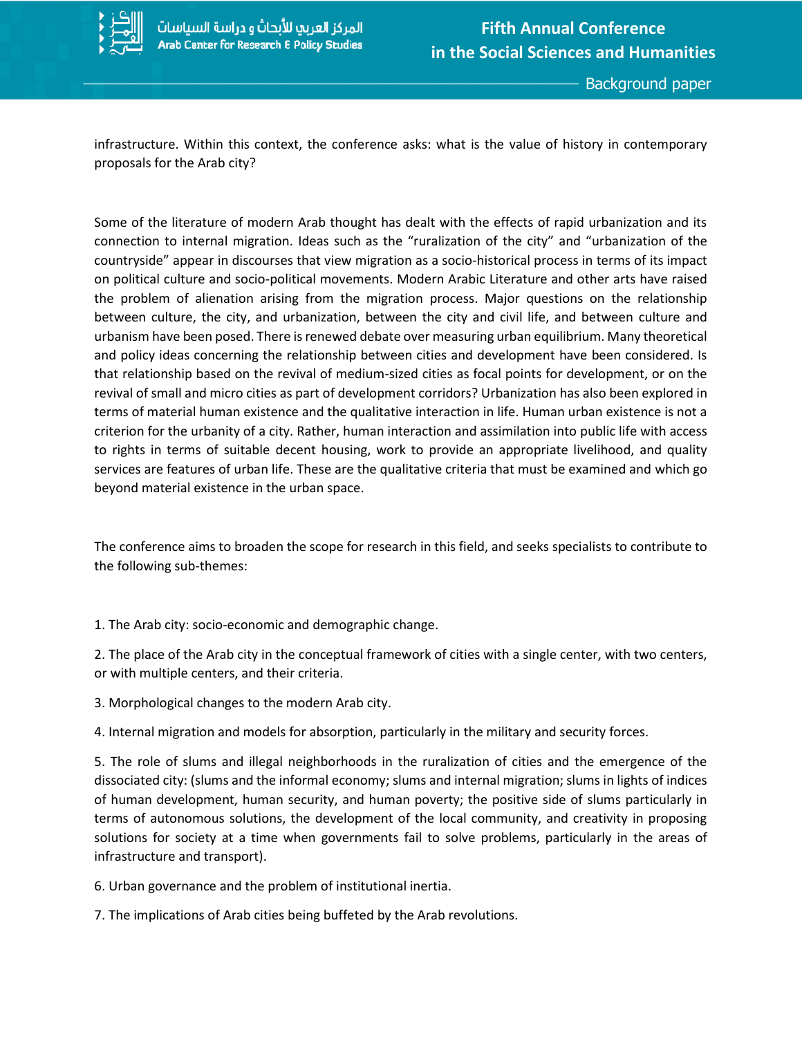

infrastructure. Within this context, the conference asks: what is the value of history in contemporary proposals for the Arab city?

Some of the literature of modern Arab thought has dealt with the effects of rapid urbanization and its connection to internal migration. Ideas such as the "ruralization of the city" and "urbanization of the countryside" appear in discourses that view migration as a socio-historical process in terms of its impact on political culture and socio-political movements. Modern Arabic Literature and other arts have raised the problem of alienation arising from the migration process. Major questions on the relationship between culture, the city, and urbanization, between the city and civil life, and between culture and urbanism have been posed. There is renewed debate over measuring urban equilibrium. Many theoretical and policy ideas concerning the relationship between cities and development have been considered. Is that relationship based on the revival of medium-sized cities as focal points for development, or on the revival of small and micro cities as part of development corridors? Urbanization has also been explored in terms of material human existence and the qualitative interaction in life. Human urban existence is not a criterion for the urbanity of a city. Rather, human interaction and assimilation into public life with access to rights in terms of suitable decent housing, work to provide an appropriate livelihood, and quality services are features of urban life. These are the qualitative criteria that must be examined and which go beyond material existence in the urban space.

The conference aims to broaden the scope for research in this field, and seeks specialists to contribute to the following sub-themes:

1. The Arab city: socio-economic and demographic change.

2. The place of the Arab city in the conceptual framework of cities with a single center, with two centers, or with multiple centers, and their criteria.

3. Morphological changes to the modern Arab city.

4. Internal migration and models for absorption, particularly in the military and security forces.

5. The role of slums and illegal neighborhoods in the ruralization of cities and the emergence of the dissociated city: (slums and the informal economy; slums and internal migration; slums in lights of indices of human development, human security, and human poverty; the positive side of slums particularly in terms of autonomous solutions, the development of the local community, and creativity in proposing solutions for society at a time when governments fail to solve problems, particularly in the areas of infrastructure and transport).

6. Urban governance and the problem of institutional inertia.

7. The implications of Arab cities being buffeted by the Arab revolutions.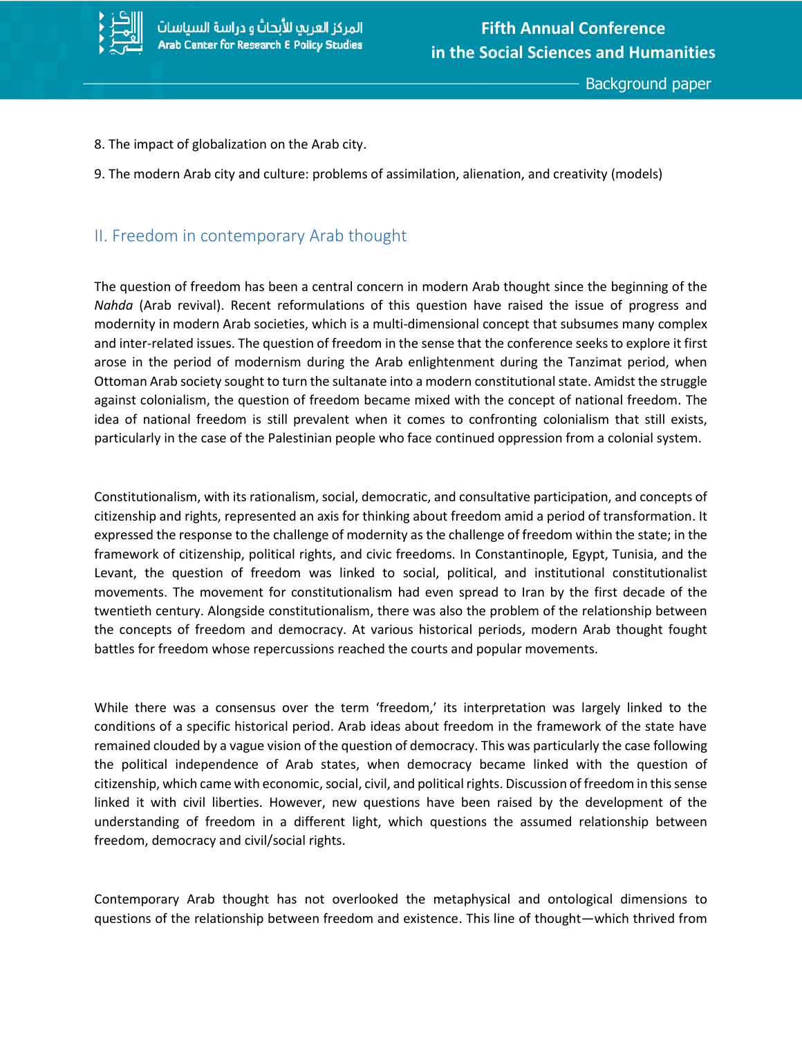

- 8. The impact of globalization on the Arab city.
- 9. The modern Arab city and culture: problems of assimilation, alienation, and creativity (models)

### II. Freedom in contemporary Arab thought

The question of freedom has been a central concern in modern Arab thought since the beginning of the *Nahda* (Arab revival). Recent reformulations of this question have raised the issue of progress and modernity in modern Arab societies, which is a multi-dimensional concept that subsumes many complex and inter-related issues. The question of freedom in the sense that the conference seeks to explore it first arose in the period of modernism during the Arab enlightenment during the Tanzimat period, when Ottoman Arab society sought to turn the sultanate into a modern constitutional state. Amidst the struggle against colonialism, the question of freedom became mixed with the concept of national freedom. The idea of national freedom is still prevalent when it comes to confronting colonialism that still exists, particularly in the case of the Palestinian people who face continued oppression from a colonial system.

Constitutionalism, with its rationalism, social, democratic, and consultative participation, and concepts of citizenship and rights, represented an axis for thinking about freedom amid a period of transformation. It expressed the response to the challenge of modernity as the challenge of freedom within the state; in the framework of citizenship, political rights, and civic freedoms. In Constantinople, Egypt, Tunisia, and the Levant, the question of freedom was linked to social, political, and institutional constitutionalist movements. The movement for constitutionalism had even spread to Iran by the first decade of the twentieth century. Alongside constitutionalism, there was also the problem of the relationship between the concepts of freedom and democracy. At various historical periods, modern Arab thought fought battles for freedom whose repercussions reached the courts and popular movements.

While there was a consensus over the term 'freedom,' its interpretation was largely linked to the conditions of a specific historical period. Arab ideas about freedom in the framework of the state have remained clouded by a vague vision of the question of democracy. This was particularly the case following the political independence of Arab states, when democracy became linked with the question of citizenship, which came with economic, social, civil, and political rights. Discussion of freedom in this sense linked it with civil liberties. However, new questions have been raised by the development of the understanding of freedom in a different light, which questions the assumed relationship between freedom, democracy and civil/social rights.

Contemporary Arab thought has not overlooked the metaphysical and ontological dimensions to questions of the relationship between freedom and existence. This line of thought—which thrived from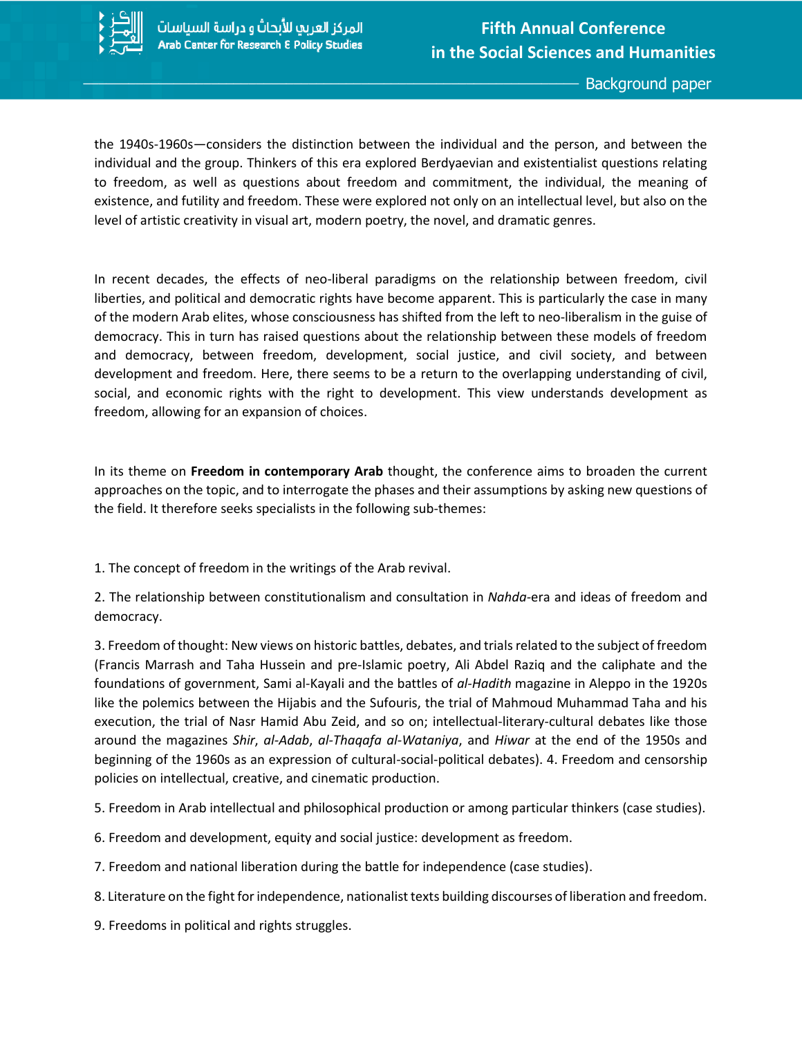

the 1940s-1960s—considers the distinction between the individual and the person, and between the individual and the group. Thinkers of this era explored Berdyaevian and existentialist questions relating to freedom, as well as questions about freedom and commitment, the individual, the meaning of existence, and futility and freedom. These were explored not only on an intellectual level, but also on the level of artistic creativity in visual art, modern poetry, the novel, and dramatic genres.

In recent decades, the effects of neo-liberal paradigms on the relationship between freedom, civil liberties, and political and democratic rights have become apparent. This is particularly the case in many of the modern Arab elites, whose consciousness has shifted from the left to neo-liberalism in the guise of democracy. This in turn has raised questions about the relationship between these models of freedom and democracy, between freedom, development, social justice, and civil society, and between development and freedom. Here, there seems to be a return to the overlapping understanding of civil, social, and economic rights with the right to development. This view understands development as freedom, allowing for an expansion of choices.

In its theme on **Freedom in contemporary Arab** thought, the conference aims to broaden the current approaches on the topic, and to interrogate the phases and their assumptions by asking new questions of the field. It therefore seeks specialists in the following sub-themes:

1. The concept of freedom in the writings of the Arab revival.

2. The relationship between constitutionalism and consultation in *Nahda-*era and ideas of freedom and democracy.

3. Freedom of thought: New views on historic battles, debates, and trials related to the subject of freedom (Francis Marrash and Taha Hussein and pre-Islamic poetry, Ali Abdel Raziq and the caliphate and the foundations of government, Sami al-Kayali and the battles of *al-Hadith* magazine in Aleppo in the 1920s like the polemics between the Hijabis and the Sufouris, the trial of Mahmoud Muhammad Taha and his execution, the trial of Nasr Hamid Abu Zeid, and so on; intellectual-literary-cultural debates like those around the magazines *Shir*, *al-Adab*, *al-Thaqafa al-Wataniya*, and *Hiwar* at the end of the 1950s and beginning of the 1960s as an expression of cultural-social-political debates). 4. Freedom and censorship policies on intellectual, creative, and cinematic production.

5. Freedom in Arab intellectual and philosophical production or among particular thinkers (case studies).

6. Freedom and development, equity and social justice: development as freedom.

7. Freedom and national liberation during the battle for independence (case studies).

- 8. Literature on the fight for independence, nationalist texts building discourses of liberation and freedom.
- 9. Freedoms in political and rights struggles.